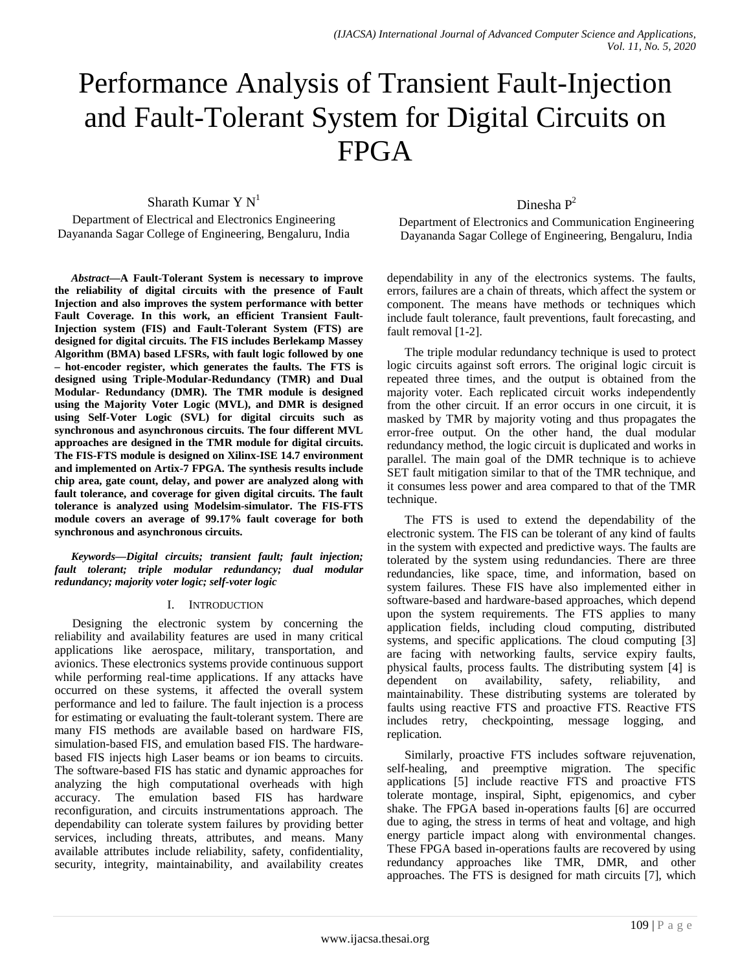# Performance Analysis of Transient Fault-Injection and Fault-Tolerant System for Digital Circuits on FPGA

Sharath Kumar Y  $N<sup>1</sup>$ 

Department of Electrical and Electronics Engineering Dayananda Sagar College of Engineering, Bengaluru, India

*Abstract***—A Fault-Tolerant System is necessary to improve the reliability of digital circuits with the presence of Fault Injection and also improves the system performance with better Fault Coverage. In this work, an efficient Transient Fault-Injection system (FIS) and Fault-Tolerant System (FTS) are designed for digital circuits. The FIS includes Berlekamp Massey Algorithm (BMA) based LFSRs, with fault logic followed by one – hot-encoder register, which generates the faults. The FTS is designed using Triple-Modular-Redundancy (TMR) and Dual Modular- Redundancy (DMR). The TMR module is designed using the Majority Voter Logic (MVL), and DMR is designed using Self-Voter Logic (SVL) for digital circuits such as synchronous and asynchronous circuits. The four different MVL approaches are designed in the TMR module for digital circuits. The FIS-FTS module is designed on Xilinx-ISE 14.7 environment and implemented on Artix-7 FPGA. The synthesis results include chip area, gate count, delay, and power are analyzed along with fault tolerance, and coverage for given digital circuits. The fault tolerance is analyzed using Modelsim-simulator. The FIS-FTS module covers an average of 99.17% fault coverage for both synchronous and asynchronous circuits.**

*Keywords—Digital circuits; transient fault; fault injection; fault tolerant; triple modular redundancy; dual modular redundancy; majority voter logic; self-voter logic*

#### I. INTRODUCTION

Designing the electronic system by concerning the reliability and availability features are used in many critical applications like aerospace, military, transportation, and avionics. These electronics systems provide continuous support while performing real-time applications. If any attacks have occurred on these systems, it affected the overall system performance and led to failure. The fault injection is a process for estimating or evaluating the fault-tolerant system. There are many FIS methods are available based on hardware FIS, simulation-based FIS, and emulation based FIS. The hardwarebased FIS injects high Laser beams or ion beams to circuits. The software-based FIS has static and dynamic approaches for analyzing the high computational overheads with high accuracy. The emulation based FIS has hardware reconfiguration, and circuits instrumentations approach. The dependability can tolerate system failures by providing better services, including threats, attributes, and means. Many available attributes include reliability, safety, confidentiality, security, integrity, maintainability, and availability creates

### Dinesha P<sup>2</sup>

Department of Electronics and Communication Engineering Dayananda Sagar College of Engineering, Bengaluru, India

dependability in any of the electronics systems. The faults, errors, failures are a chain of threats, which affect the system or component. The means have methods or techniques which include fault tolerance, fault preventions, fault forecasting, and fault removal [1-2].

The triple modular redundancy technique is used to protect logic circuits against soft errors. The original logic circuit is repeated three times, and the output is obtained from the majority voter. Each replicated circuit works independently from the other circuit. If an error occurs in one circuit, it is masked by TMR by majority voting and thus propagates the error-free output. On the other hand, the dual modular redundancy method, the logic circuit is duplicated and works in parallel. The main goal of the DMR technique is to achieve SET fault mitigation similar to that of the TMR technique, and it consumes less power and area compared to that of the TMR technique.

The FTS is used to extend the dependability of the electronic system. The FIS can be tolerant of any kind of faults in the system with expected and predictive ways. The faults are tolerated by the system using redundancies. There are three redundancies, like space, time, and information, based on system failures. These FIS have also implemented either in software-based and hardware-based approaches, which depend upon the system requirements. The FTS applies to many application fields, including cloud computing, distributed systems, and specific applications. The cloud computing [3] are facing with networking faults, service expiry faults, physical faults, process faults. The distributing system [4] is dependent on availability, safety, reliability, and on availability, safety, reliability, and maintainability. These distributing systems are tolerated by faults using reactive FTS and proactive FTS. Reactive FTS includes retry, checkpointing, message logging, and replication.

Similarly, proactive FTS includes software rejuvenation, self-healing, and preemptive migration. The specific applications [5] include reactive FTS and proactive FTS tolerate montage, inspiral, Sipht, epigenomics, and cyber shake. The FPGA based in-operations faults [6] are occurred due to aging, the stress in terms of heat and voltage, and high energy particle impact along with environmental changes. These FPGA based in-operations faults are recovered by using redundancy approaches like TMR, DMR, and other approaches. The FTS is designed for math circuits [7], which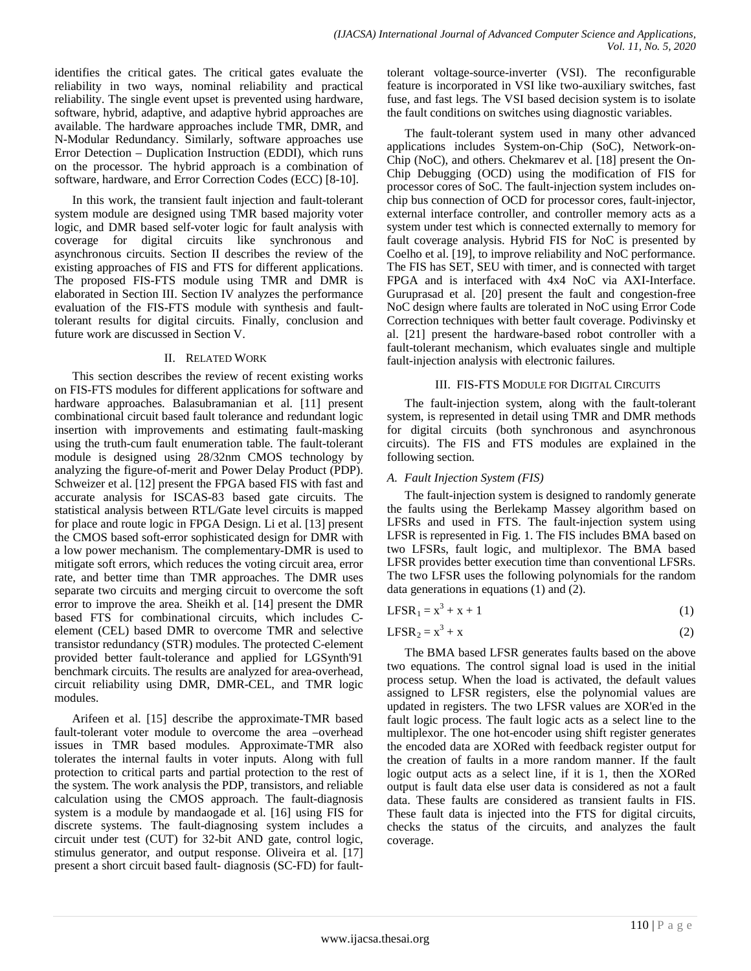identifies the critical gates. The critical gates evaluate the reliability in two ways, nominal reliability and practical reliability. The single event upset is prevented using hardware, software, hybrid, adaptive, and adaptive hybrid approaches are available. The hardware approaches include TMR, DMR, and N-Modular Redundancy. Similarly, software approaches use Error Detection – Duplication Instruction (EDDI), which runs on the processor. The hybrid approach is a combination of software, hardware, and Error Correction Codes (ECC) [8-10].

In this work, the transient fault injection and fault-tolerant system module are designed using TMR based majority voter logic, and DMR based self-voter logic for fault analysis with coverage for digital circuits like synchronous and asynchronous circuits. Section II describes the review of the existing approaches of FIS and FTS for different applications. The proposed FIS-FTS module using TMR and DMR is elaborated in Section III. Section IV analyzes the performance evaluation of the FIS-FTS module with synthesis and faulttolerant results for digital circuits. Finally, conclusion and future work are discussed in Section V.

#### II. RELATED WORK

This section describes the review of recent existing works on FIS-FTS modules for different applications for software and hardware approaches. Balasubramanian et al. [11] present combinational circuit based fault tolerance and redundant logic insertion with improvements and estimating fault-masking using the truth-cum fault enumeration table. The fault-tolerant module is designed using 28/32nm CMOS technology by analyzing the figure-of-merit and Power Delay Product (PDP). Schweizer et al. [12] present the FPGA based FIS with fast and accurate analysis for ISCAS-83 based gate circuits. The statistical analysis between RTL/Gate level circuits is mapped for place and route logic in FPGA Design. Li et al. [13] present the CMOS based soft-error sophisticated design for DMR with a low power mechanism. The complementary-DMR is used to mitigate soft errors, which reduces the voting circuit area, error rate, and better time than TMR approaches. The DMR uses separate two circuits and merging circuit to overcome the soft error to improve the area. Sheikh et al. [14] present the DMR based FTS for combinational circuits, which includes Celement (CEL) based DMR to overcome TMR and selective transistor redundancy (STR) modules. The protected C-element provided better fault-tolerance and applied for LGSynth'91 benchmark circuits. The results are analyzed for area-overhead, circuit reliability using DMR, DMR-CEL, and TMR logic modules.

Arifeen et al. [15] describe the approximate-TMR based fault-tolerant voter module to overcome the area –overhead issues in TMR based modules. Approximate-TMR also tolerates the internal faults in voter inputs. Along with full protection to critical parts and partial protection to the rest of the system. The work analysis the PDP, transistors, and reliable calculation using the CMOS approach. The fault-diagnosis system is a module by mandaogade et al. [16] using FIS for discrete systems. The fault-diagnosing system includes a circuit under test (CUT) for 32-bit AND gate, control logic, stimulus generator, and output response. Oliveira et al. [17] present a short circuit based fault- diagnosis (SC-FD) for faulttolerant voltage-source-inverter (VSI). The reconfigurable feature is incorporated in VSI like two-auxiliary switches, fast fuse, and fast legs. The VSI based decision system is to isolate the fault conditions on switches using diagnostic variables.

The fault-tolerant system used in many other advanced applications includes System-on-Chip (SoC), Network-on-Chip (NoC), and others. Chekmarev et al. [18] present the On-Chip Debugging (OCD) using the modification of FIS for processor cores of SoC. The fault-injection system includes onchip bus connection of OCD for processor cores, fault-injector, external interface controller, and controller memory acts as a system under test which is connected externally to memory for fault coverage analysis. Hybrid FIS for NoC is presented by Coelho et al. [19], to improve reliability and NoC performance. The FIS has SET, SEU with timer, and is connected with target FPGA and is interfaced with 4x4 NoC via AXI-Interface. Guruprasad et al. [20] present the fault and congestion-free NoC design where faults are tolerated in NoC using Error Code Correction techniques with better fault coverage. Podivinsky et al. [21] present the hardware-based robot controller with a fault-tolerant mechanism, which evaluates single and multiple fault-injection analysis with electronic failures.

#### III. FIS-FTS MODULE FOR DIGITAL CIRCUITS

The fault-injection system, along with the fault-tolerant system, is represented in detail using TMR and DMR methods for digital circuits (both synchronous and asynchronous circuits). The FIS and FTS modules are explained in the following section.

#### *A. Fault Injection System (FIS)*

The fault-injection system is designed to randomly generate the faults using the Berlekamp Massey algorithm based on LFSRs and used in FTS. The fault-injection system using LFSR is represented in Fig. 1. The FIS includes BMA based on two LFSRs, fault logic, and multiplexor. The BMA based LFSR provides better execution time than conventional LFSRs. The two LFSR uses the following polynomials for the random data generations in equations (1) and (2).

$$
LFSR_1 = x^3 + x + 1 \tag{1}
$$

$$
LFSR_2 = x^3 + x \tag{2}
$$

The BMA based LFSR generates faults based on the above two equations. The control signal load is used in the initial process setup. When the load is activated, the default values assigned to LFSR registers, else the polynomial values are updated in registers. The two LFSR values are XOR'ed in the fault logic process. The fault logic acts as a select line to the multiplexor. The one hot-encoder using shift register generates the encoded data are XORed with feedback register output for the creation of faults in a more random manner. If the fault logic output acts as a select line, if it is 1, then the XORed output is fault data else user data is considered as not a fault data. These faults are considered as transient faults in FIS. These fault data is injected into the FTS for digital circuits, checks the status of the circuits, and analyzes the fault coverage.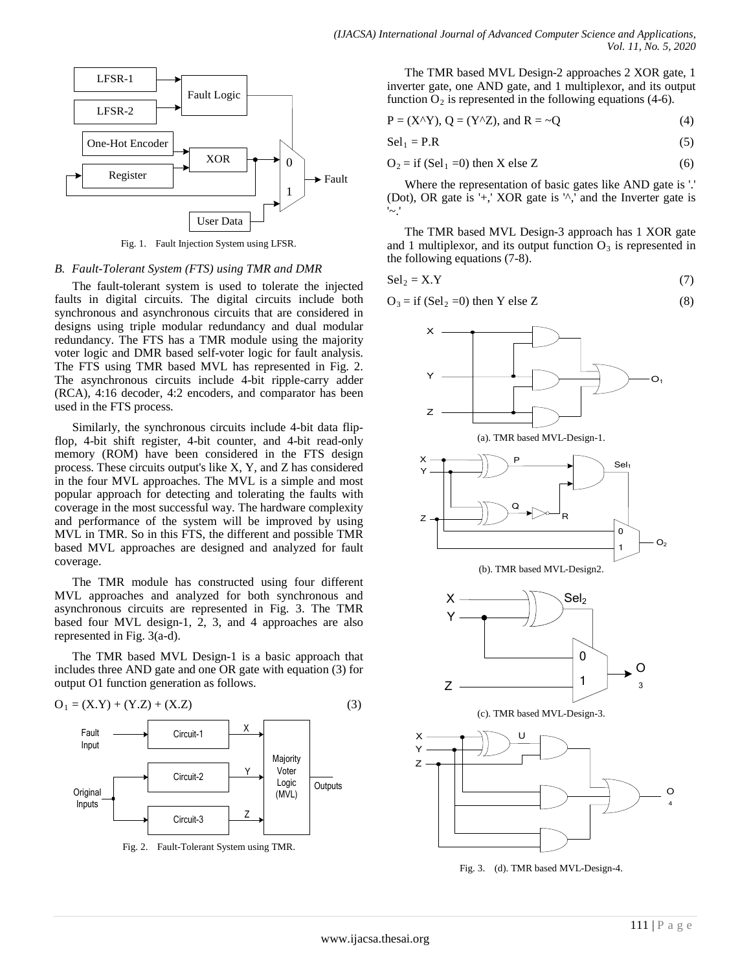

## *B. Fault-Tolerant System (FTS) using TMR and DMR*

The fault-tolerant system is used to tolerate the injected faults in digital circuits. The digital circuits include both synchronous and asynchronous circuits that are considered in designs using triple modular redundancy and dual modular redundancy. The FTS has a TMR module using the majority voter logic and DMR based self-voter logic for fault analysis. The FTS using TMR based MVL has represented in Fig. 2. The asynchronous circuits include 4-bit ripple-carry adder (RCA), 4:16 decoder, 4:2 encoders, and comparator has been used in the FTS process.

Similarly, the synchronous circuits include 4-bit data flipflop, 4-bit shift register, 4-bit counter, and 4-bit read-only memory (ROM) have been considered in the FTS design process. These circuits output's like X, Y, and Z has considered in the four MVL approaches. The MVL is a simple and most popular approach for detecting and tolerating the faults with coverage in the most successful way. The hardware complexity and performance of the system will be improved by using MVL in TMR. So in this FTS, the different and possible TMR based MVL approaches are designed and analyzed for fault coverage.

The TMR module has constructed using four different MVL approaches and analyzed for both synchronous and asynchronous circuits are represented in Fig. 3. The TMR based four MVL design-1, 2, 3, and 4 approaches are also represented in Fig. 3(a-d).

The TMR based MVL Design-1 is a basic approach that includes three AND gate and one OR gate with equation (3) for output O1 function generation as follows.



Fig. 2. Fault-Tolerant System using TMR.

The TMR based MVL Design-2 approaches 2 XOR gate, 1 inverter gate, one AND gate, and 1 multiplexor, and its output function  $O_2$  is represented in the following equations (4-6).

$$
P = (X^{\wedge}Y), Q = (Y^{\wedge}Z), \text{ and } R = \sim Q \tag{4}
$$

$$
\text{Sel}_1 = \text{P.R} \tag{5}
$$

$$
O_2 = if (Sel_1 = 0) then X else Z
$$
 (6)

Where the representation of basic gates like AND gate is '.' (Dot), OR gate is '+,' XOR gate is '^,' and the Inverter gate is '~.'

The TMR based MVL Design-3 approach has 1 XOR gate and 1 multiplexor, and its output function  $O_3$  is represented in the following equations (7-8).

$$
\text{Sel}_2 = \text{X.Y} \tag{7}
$$

$$
O_3 = if (Sel_2 = 0) then Y else Z
$$
 (8)



Fig. 3. (d). TMR based MVL-Design-4.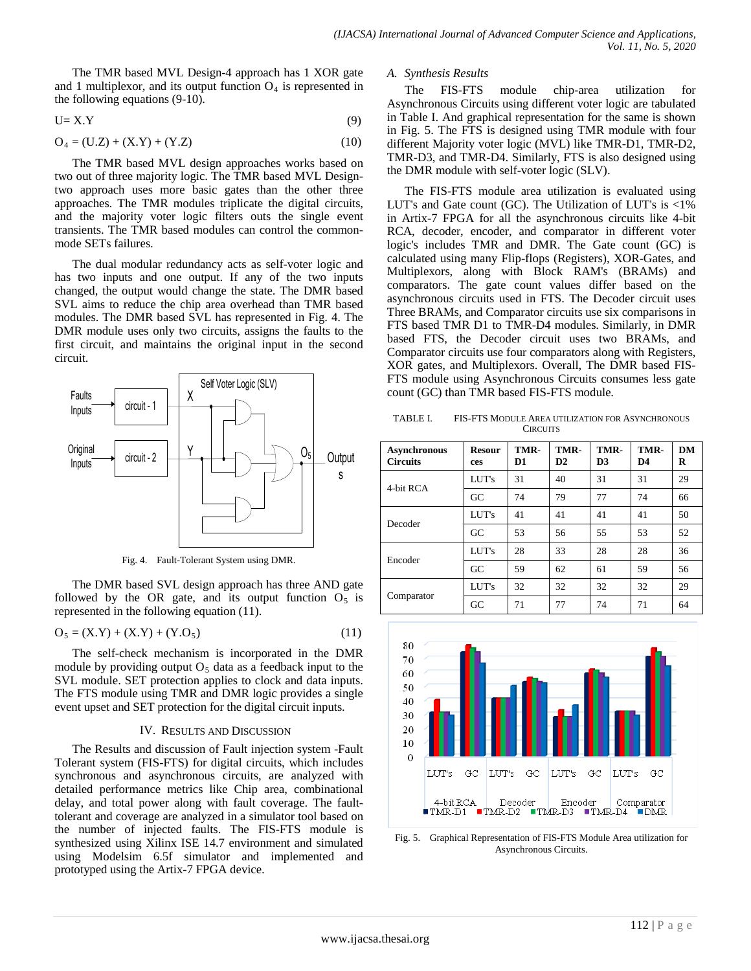The TMR based MVL Design-4 approach has 1 XOR gate and 1 multiplexor, and its output function  $O<sub>4</sub>$  is represented in the following equations (9-10).

$$
U = X.Y
$$
 (9)

$$
O_4 = (U.Z) + (X.Y) + (Y.Z)
$$
 (10)

The TMR based MVL design approaches works based on two out of three majority logic. The TMR based MVL Designtwo approach uses more basic gates than the other three approaches. The TMR modules triplicate the digital circuits, and the majority voter logic filters outs the single event transients. The TMR based modules can control the commonmode SETs failures.

The dual modular redundancy acts as self-voter logic and has two inputs and one output. If any of the two inputs changed, the output would change the state. The DMR based SVL aims to reduce the chip area overhead than TMR based modules. The DMR based SVL has represented in Fig. 4. The DMR module uses only two circuits, assigns the faults to the first circuit, and maintains the original input in the second circuit.



Fig. 4. Fault-Tolerant System using DMR.

The DMR based SVL design approach has three AND gate followed by the OR gate, and its output function  $O_5$  is represented in the following equation (11).

$$
O_5 = (X.Y) + (X.Y) + (Y.O_5)
$$
\n(11)

The self-check mechanism is incorporated in the DMR module by providing output  $O<sub>5</sub>$  data as a feedback input to the SVL module. SET protection applies to clock and data inputs. The FTS module using TMR and DMR logic provides a single event upset and SET protection for the digital circuit inputs.

#### IV. RESULTS AND DISCUSSION

The Results and discussion of Fault injection system -Fault Tolerant system (FIS-FTS) for digital circuits, which includes synchronous and asynchronous circuits, are analyzed with detailed performance metrics like Chip area, combinational delay, and total power along with fault coverage. The faulttolerant and coverage are analyzed in a simulator tool based on the number of injected faults. The FIS-FTS module is synthesized using Xilinx ISE 14.7 environment and simulated using Modelsim 6.5f simulator and implemented and prototyped using the Artix-7 FPGA device.

#### *A. Synthesis Results*

The FIS-FTS module chip-area utilization for Asynchronous Circuits using different voter logic are tabulated in Table I. And graphical representation for the same is shown in Fig. 5. The FTS is designed using TMR module with four different Majority voter logic (MVL) like TMR-D1, TMR-D2, TMR-D3, and TMR-D4. Similarly, FTS is also designed using the DMR module with self-voter logic (SLV).

The FIS-FTS module area utilization is evaluated using LUT's and Gate count (GC). The Utilization of LUT's is <1% in Artix-7 FPGA for all the asynchronous circuits like 4-bit RCA, decoder, encoder, and comparator in different voter logic's includes TMR and DMR. The Gate count (GC) is calculated using many Flip-flops (Registers), XOR-Gates, and Multiplexors, along with Block RAM's (BRAMs) and comparators. The gate count values differ based on the asynchronous circuits used in FTS. The Decoder circuit uses Three BRAMs, and Comparator circuits use six comparisons in FTS based TMR D1 to TMR-D4 modules. Similarly, in DMR based FTS, the Decoder circuit uses two BRAMs, and Comparator circuits use four comparators along with Registers, XOR gates, and Multiplexors. Overall, The DMR based FIS-FTS module using Asynchronous Circuits consumes less gate count (GC) than TMR based FIS-FTS module.

TABLE I. FIS-FTS MODULE AREA UTILIZATION FOR ASYNCHRONOUS **CIRCUITS** 

| <b>Asynchronous</b><br><b>Circuits</b> | <b>Resour</b><br>ces | TMR-<br>D1 | TMR-<br>D2 | TMR-<br>D <sub>3</sub> | TMR-<br>D4 | DM<br>R |
|----------------------------------------|----------------------|------------|------------|------------------------|------------|---------|
| 4-bit RCA                              | LUT's                | 31         | 40         | 31                     | 31         | 29      |
|                                        | GC                   | 74         | 79         | 77                     | 74         | 66      |
| Decoder                                | LUT's                | 41         | 41         | 41                     | 41         | 50      |
|                                        | GC                   | 53         | 56         | 55                     | 53         | 52      |
| Encoder                                | LUT's                | 28         | 33         | 28                     | 28         | 36      |
|                                        | GC                   | 59         | 62         | 61                     | 59         | 56      |
| Comparator                             | LUT's                | 32         | 32         | 32                     | 32         | 29      |
|                                        | GC                   | 71         | 77         | 74                     | 71         | 64      |



Fig. 5. Graphical Representation of FIS-FTS Module Area utilization for Asynchronous Circuits.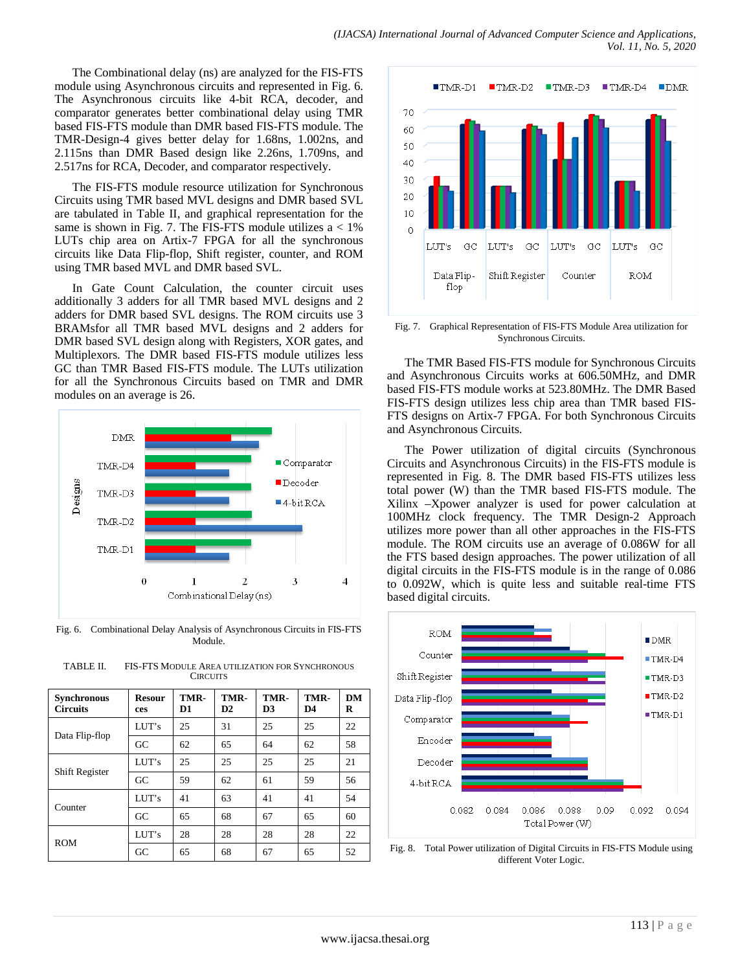The Combinational delay (ns) are analyzed for the FIS-FTS module using Asynchronous circuits and represented in Fig. 6. The Asynchronous circuits like 4-bit RCA, decoder, and comparator generates better combinational delay using TMR based FIS-FTS module than DMR based FIS-FTS module. The TMR-Design-4 gives better delay for 1.68ns, 1.002ns, and 2.115ns than DMR Based design like 2.26ns, 1.709ns, and 2.517ns for RCA, Decoder, and comparator respectively.

The FIS-FTS module resource utilization for Synchronous Circuits using TMR based MVL designs and DMR based SVL are tabulated in Table II, and graphical representation for the same is shown in Fig. 7. The FIS-FTS module utilizes  $a < 1\%$ LUTs chip area on Artix-7 FPGA for all the synchronous circuits like Data Flip-flop, Shift register, counter, and ROM using TMR based MVL and DMR based SVL.

In Gate Count Calculation, the counter circuit uses additionally 3 adders for all TMR based MVL designs and 2 adders for DMR based SVL designs. The ROM circuits use 3 BRAMsfor all TMR based MVL designs and 2 adders for DMR based SVL design along with Registers, XOR gates, and Multiplexors. The DMR based FIS-FTS module utilizes less GC than TMR Based FIS-FTS module. The LUTs utilization for all the Synchronous Circuits based on TMR and DMR modules on an average is 26.



Fig. 6. Combinational Delay Analysis of Asynchronous Circuits in FIS-FTS Module.

| <b>Synchronous</b><br><b>Circuits</b> | <b>Resour</b><br>ces | TMR-<br>D1 | TMR-<br>D2 | TMR-<br>D <sub>3</sub> | TMR-<br>D4 | DM<br>R |
|---------------------------------------|----------------------|------------|------------|------------------------|------------|---------|
| Data Flip-flop                        | LUT's                | 25         | 31         | 25                     | 25         | 22      |
|                                       | GC                   | 62         | 65         | 64                     | 62         | 58      |
| <b>Shift Register</b>                 | LUT's                | 25         | 25         | 25                     | 25         | 21      |
|                                       | GC                   | 59         | 62         | 61                     | 59         | 56      |
| Counter                               | LUT's                | 41         | 63         | 41                     | 41         | 54      |
|                                       | GC                   | 65         | 68         | 67                     | 65         | 60      |
| <b>ROM</b>                            | LUT's                | 28         | 28         | 28                     | 28         | 22      |
|                                       | GC                   | 65         | 68         | 67                     | 65         | 52      |

TABLE II. FIS-FTS MODULE AREA UTILIZATION FOR SYNCHRONOUS **CIRCUITS** 



Fig. 7. Graphical Representation of FIS-FTS Module Area utilization for Synchronous Circuits.

The TMR Based FIS-FTS module for Synchronous Circuits and Asynchronous Circuits works at 606.50MHz, and DMR based FIS-FTS module works at 523.80MHz. The DMR Based FIS-FTS design utilizes less chip area than TMR based FIS-FTS designs on Artix-7 FPGA. For both Synchronous Circuits and Asynchronous Circuits.

The Power utilization of digital circuits (Synchronous Circuits and Asynchronous Circuits) in the FIS-FTS module is represented in Fig. 8. The DMR based FIS-FTS utilizes less total power (W) than the TMR based FIS-FTS module. The Xilinx –Xpower analyzer is used for power calculation at 100MHz clock frequency. The TMR Design-2 Approach utilizes more power than all other approaches in the FIS-FTS module. The ROM circuits use an average of 0.086W for all the FTS based design approaches. The power utilization of all digital circuits in the FIS-FTS module is in the range of 0.086 to 0.092W, which is quite less and suitable real-time FTS based digital circuits.



Fig. 8. Total Power utilization of Digital Circuits in FIS-FTS Module using different Voter Logic.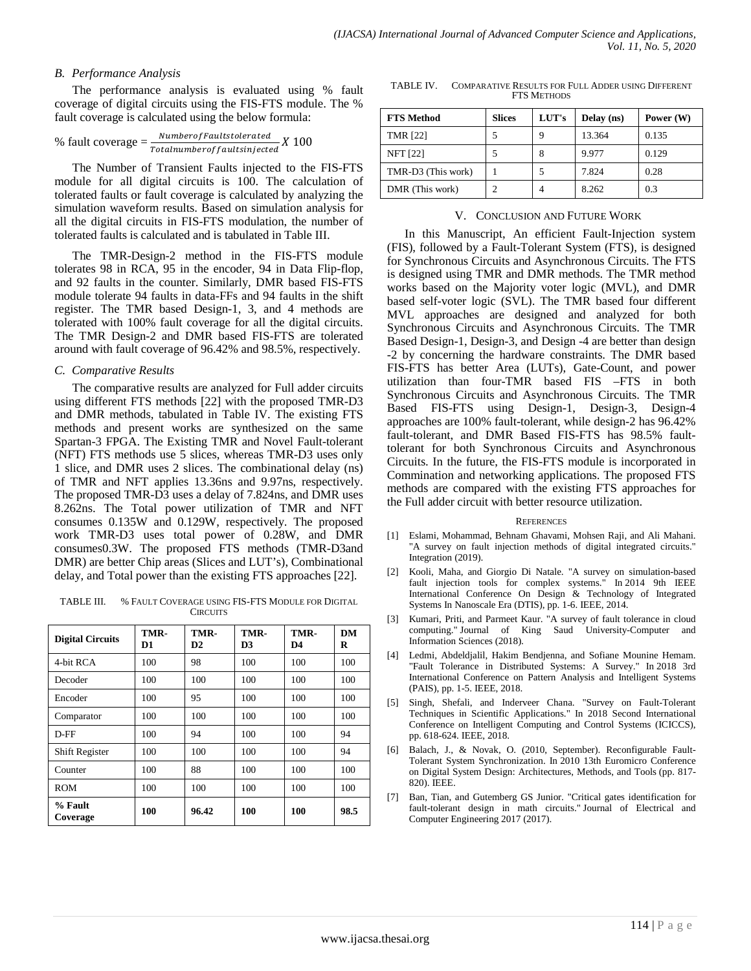#### *B. Performance Analysis*

The performance analysis is evaluated using % fault coverage of digital circuits using the FIS-FTS module. The % fault coverage is calculated using the below formula:

% fault coverage = 
$$
\frac{Number of Faultstolerated}{Total number of faults injected} X 100
$$

The Number of Transient Faults injected to the FIS-FTS module for all digital circuits is 100. The calculation of tolerated faults or fault coverage is calculated by analyzing the simulation waveform results. Based on simulation analysis for all the digital circuits in FIS-FTS modulation, the number of tolerated faults is calculated and is tabulated in Table III.

The TMR-Design-2 method in the FIS-FTS module tolerates 98 in RCA, 95 in the encoder, 94 in Data Flip-flop, and 92 faults in the counter. Similarly, DMR based FIS-FTS module tolerate 94 faults in data-FFs and 94 faults in the shift register. The TMR based Design-1, 3, and 4 methods are tolerated with 100% fault coverage for all the digital circuits. The TMR Design-2 and DMR based FIS-FTS are tolerated around with fault coverage of 96.42% and 98.5%, respectively.

#### *C. Comparative Results*

The comparative results are analyzed for Full adder circuits using different FTS methods [22] with the proposed TMR-D3 and DMR methods, tabulated in Table IV. The existing FTS methods and present works are synthesized on the same Spartan-3 FPGA. The Existing TMR and Novel Fault-tolerant (NFT) FTS methods use 5 slices, whereas TMR-D3 uses only 1 slice, and DMR uses 2 slices. The combinational delay (ns) of TMR and NFT applies 13.36ns and 9.97ns, respectively. The proposed TMR-D3 uses a delay of 7.824ns, and DMR uses 8.262ns. The Total power utilization of TMR and NFT consumes 0.135W and 0.129W, respectively. The proposed work TMR-D3 uses total power of 0.28W, and DMR consumes0.3W. The proposed FTS methods (TMR-D3and DMR) are better Chip areas (Slices and LUT's), Combinational delay, and Total power than the existing FTS approaches [22].

TABLE III. % FAULT COVERAGE USING FIS-FTS MODULE FOR DIGITAL **CIRCUITS** 

| <b>Digital Circuits</b> | TMR-<br>D1 | TMR-<br>D2 | TMR-<br>D3 | TMR-<br>D4 | DM<br>R |
|-------------------------|------------|------------|------------|------------|---------|
| 4-bit RCA               | 100        | 98         | 100        | 100        | 100     |
| Decoder                 | 100        | 100        | 100        | 100        | 100     |
| Encoder                 | 100        | 95         | 100        | 100        | 100     |
| Comparator              | 100        | 100        | 100        | 100        | 100     |
| D-FF                    | 100        | 94         | 100        | 100        | 94      |
| Shift Register          | 100        | 100        | 100        | 100        | 94      |
| Counter                 | 100        | 88         | 100        | 100        | 100     |
| <b>ROM</b>              | 100        | 100        | 100        | 100        | 100     |
| % Fault<br>Coverage     | 100        | 96.42      | 100        | 100        | 98.5    |

TABLE IV. COMPARATIVE RESULTS FOR FULL ADDER USING DIFFERENT FTS METHODS

| <b>FTS Method</b>  | <b>Slices</b> | LUT's | Delay (ns) | Power (W) |
|--------------------|---------------|-------|------------|-----------|
| <b>TMR [22]</b>    |               |       | 13.364     | 0.135     |
| <b>NFT [22]</b>    |               | 8     | 9.977      | 0.129     |
| TMR-D3 (This work) |               |       | 7.824      | 0.28      |
| DMR (This work)    |               |       | 8.262      | 0.3       |

#### V. CONCLUSION AND FUTURE WORK

In this Manuscript, An efficient Fault-Injection system (FIS), followed by a Fault-Tolerant System (FTS), is designed for Synchronous Circuits and Asynchronous Circuits. The FTS is designed using TMR and DMR methods. The TMR method works based on the Majority voter logic (MVL), and DMR based self-voter logic (SVL). The TMR based four different MVL approaches are designed and analyzed for both Synchronous Circuits and Asynchronous Circuits. The TMR Based Design-1, Design-3, and Design -4 are better than design -2 by concerning the hardware constraints. The DMR based FIS-FTS has better Area (LUTs), Gate-Count, and power utilization than four-TMR based FIS –FTS in both Synchronous Circuits and Asynchronous Circuits. The TMR Based FIS-FTS using Design-1, Design-3, Design-4 approaches are 100% fault-tolerant, while design-2 has 96.42% fault-tolerant, and DMR Based FIS-FTS has 98.5% faulttolerant for both Synchronous Circuits and Asynchronous Circuits. In the future, the FIS-FTS module is incorporated in Commination and networking applications. The proposed FTS methods are compared with the existing FTS approaches for the Full adder circuit with better resource utilization.

#### **REFERENCES**

- [1] Eslami, Mohammad, Behnam Ghavami, Mohsen Raji, and Ali Mahani. "A survey on fault injection methods of digital integrated circuits." Integration (2019).
- [2] Kooli, Maha, and Giorgio Di Natale. "A survey on simulation-based fault injection tools for complex systems." In 2014 9th IEEE International Conference On Design & Technology of Integrated Systems In Nanoscale Era (DTIS), pp. 1-6. IEEE, 2014.
- [3] Kumari, Priti, and Parmeet Kaur. "A survey of fault tolerance in cloud computing." Journal of King Saud University-Computer and Information Sciences (2018).
- [4] Ledmi, Abdeldjalil, Hakim Bendjenna, and Sofiane Mounine Hemam. "Fault Tolerance in Distributed Systems: A Survey." In 2018 3rd International Conference on Pattern Analysis and Intelligent Systems (PAIS), pp. 1-5. IEEE, 2018.
- [5] Singh, Shefali, and Inderveer Chana. "Survey on Fault-Tolerant Techniques in Scientific Applications." In 2018 Second International Conference on Intelligent Computing and Control Systems (ICICCS), pp. 618-624. IEEE, 2018.
- [6] Balach, J., & Novak, O. (2010, September). Reconfigurable Fault-Tolerant System Synchronization. In 2010 13th Euromicro Conference on Digital System Design: Architectures, Methods, and Tools (pp. 817- 820). IEEE.
- [7] Ban, Tian, and Gutemberg GS Junior. "Critical gates identification for fault-tolerant design in math circuits." Journal of Electrical and Computer Engineering 2017 (2017).